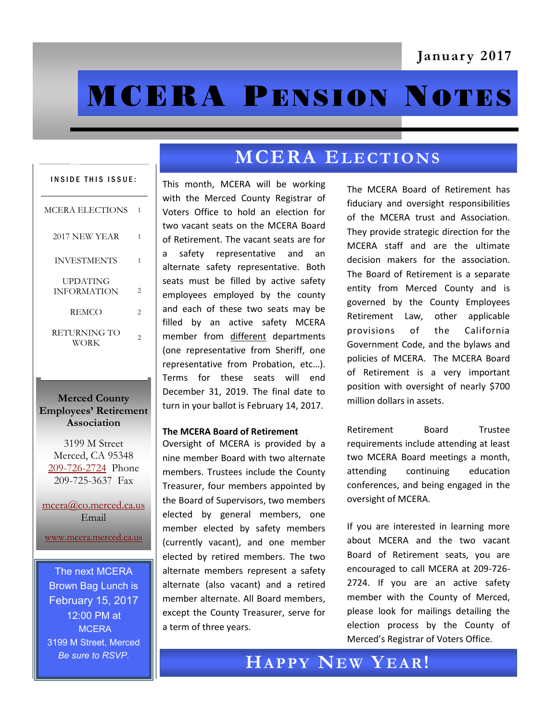# **MCERA PENSION NOTES**

# INSIDE THIS ISSUE: MCERA ELECTIONS 1 2017 NEW YEAR 1 INVESTMENTS 1 UPDATING INFORMATION 2 REMCO 2 RETURNING TO WORK 2

#### **Merced County Employees' Retirement Association**

3199 M Street Merced, CA 95348 [209-726-2724](tel:+12097262724) Phone 209-725-3637 Fax

[mcera@co.merced.ca.us](mailto:mcera@co.merced.ca.us) Email

[www.mcera.merced.ca.us](http://www.mcera.merced.ca.us) 

The next MCERA Brown Bag Lunch is February 15, 2017 12:00 PM at **MCERA** 3199 M Street, Merced *Be sure to RSVP.*

# **MCERA ELECTIONS**

This month, MCERA will be working with the Merced County Registrar of Voters Office to hold an election for two vacant seats on the MCERA Board of Retirement. The vacant seats are for a safety representative and an alternate safety representative. Both seats must be filled by active safety employees employed by the county and each of these two seats may be filled by an active safety MCERA member from different departments (one representative from Sheriff, one representative from Probation, etc…). Terms for these seats will end December 31, 2019. The final date to turn in your ballot is February 14, 2017.

#### **The MCERA Board of Retirement**

Oversight of MCERA is provided by a nine member Board with two alternate members. Trustees include the County Treasurer, four members appointed by the Board of Supervisors, two members elected by general members, one member elected by safety members (currently vacant), and one member elected by retired members. The two alternate members represent a safety alternate (also vacant) and a retired member alternate. All Board members, except the County Treasurer, serve for a term of three years.

The MCERA Board of Retirement has fiduciary and oversight responsibilities of the MCERA trust and Association. They provide strategic direction for the MCERA staff and are the ultimate decision makers for the association. The Board of Retirement is a separate entity from Merced County and is governed by the County Employees Retirement Law, other applicable provisions of the California Government Code, and the bylaws and policies of MCERA. The MCERA Board of Retirement is a very important position with oversight of nearly \$700 million dollars in assets.

Retirement Board Trustee requirements include attending at least two MCERA Board meetings a month, attending continuing education conferences, and being engaged in the oversight of MCERA.

If you are interested in learning more about MCERA and the two vacant Board of Retirement seats, you are encouraged to call MCERA at 209-726- 2724. If you are an active safety member with the County of Merced, please look for mailings detailing the election process by the County of Merced's Registrar of Voters Office.

**HA P P Y NE W YE A R!**